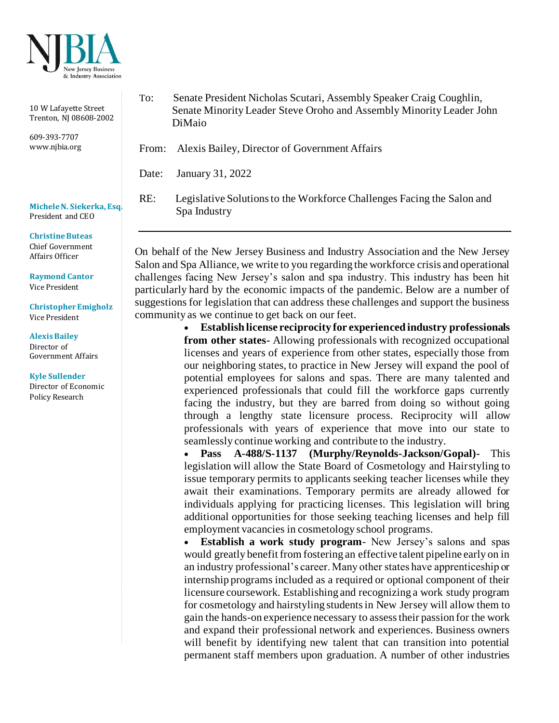

10 W Lafayette Street Trenton, NJ 08608-2002

609-393-7707 www.njbia.org

**Michele N. Siekerka, Esq.** President and CEO

## **Christine Buteas** Chief Government Affairs Officer

**Raymond Cantor**

Vice President

**Christopher Emigholz** Vice President

**Alexis Bailey**  Director of Government Affairs

**Kyle Sullender** Director of Economic Policy Research

To: Senate President Nicholas Scutari, Assembly Speaker Craig Coughlin, Senate Minority Leader Steve Oroho and Assembly Minority Leader John DiMaio

From: Alexis Bailey, Director of Government Affairs

Date: January 31, 2022

RE: Legislative Solutions to the Workforce Challenges Facing the Salon and Spa Industry

On behalf of the New Jersey Business and Industry Association and the New Jersey Salon and Spa Alliance, we write to you regarding the workforce crisis and operational challenges facing New Jersey's salon and spa industry. This industry has been hit particularly hard by the economic impacts of the pandemic. Below are a number of suggestions for legislation that can address these challenges and support the business community as we continue to get back on our feet.

> • **Establish license reciprocity for experienced industry professionals from other states-** Allowing professionals with recognized occupational licenses and years of experience from other states, especially those from our neighboring states, to practice in New Jersey will expand the pool of potential employees for salons and spas. There are many talented and experienced professionals that could fill the workforce gaps currently facing the industry, but they are barred from doing so without going through a lengthy state licensure process. Reciprocity will allow professionals with years of experience that move into our state to seamlessly continue working and contribute to the industry.

> • **Pass A-488/S-1137 (Murphy/Reynolds-Jackson/Gopal)-** This legislation will allow the State Board of Cosmetology and Hairstyling to issue temporary permits to applicants seeking teacher licenses while they await their examinations. Temporary permits are already allowed for individuals applying for practicing licenses. This legislation will bring additional opportunities for those seeking teaching licenses and help fill employment vacancies in cosmetology school programs.

> • **Establish a work study program**- New Jersey's salons and spas would greatly benefit from fostering an effective talent pipeline early on in an industry professional's career. Many other states have apprenticeship or internship programs included as a required or optional component of their licensure coursework. Establishing and recognizing a work study program for cosmetology and hairstyling students in New Jersey will allow them to gain the hands-on experience necessary to assess their passion for the work and expand their professional network and experiences. Business owners will benefit by identifying new talent that can transition into potential permanent staff members upon graduation. A number of other industries